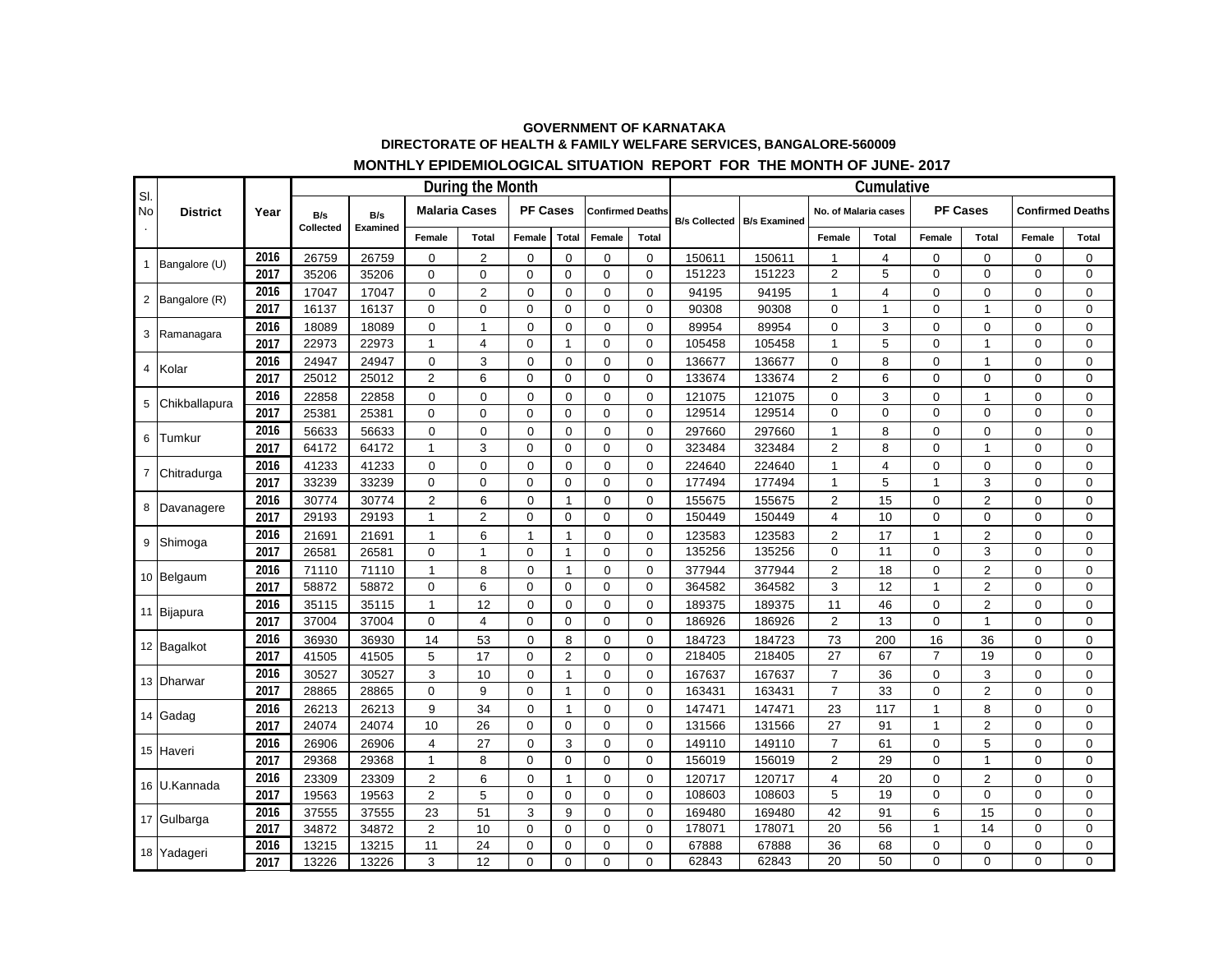## **GOVERNMENT OF KARNATAKA DIRECTORATE OF HEALTH & FAMILY WELFARE SERVICES, BANGALORE-560009 MONTHLY EPIDEMIOLOGICAL SITUATION REPORT FOR THE MONTH OF JUNE- 2017**

| SI.            | <b>District</b> | Year | During the Month |                 |                      |                |                 |                |                         |              |                      |                     |                      | Cumulative     |                 |                |                         |              |  |  |  |  |  |
|----------------|-----------------|------|------------------|-----------------|----------------------|----------------|-----------------|----------------|-------------------------|--------------|----------------------|---------------------|----------------------|----------------|-----------------|----------------|-------------------------|--------------|--|--|--|--|--|
| <b>No</b>      |                 |      | B/s<br>Collected | B/s<br>Examined | <b>Malaria Cases</b> |                | <b>PF Cases</b> |                | <b>Confirmed Deaths</b> |              | <b>B/s Collected</b> | <b>B/s Examined</b> | No. of Malaria cases |                | <b>PF Cases</b> |                | <b>Confirmed Deaths</b> |              |  |  |  |  |  |
|                |                 |      |                  |                 | Female               | Total          | Female          | <b>Total</b>   | Female                  | <b>Total</b> |                      |                     | Female               | <b>Total</b>   | Female          | Total          | Female                  | <b>Total</b> |  |  |  |  |  |
| $\mathbf{1}$   | Bangalore (U)   | 2016 | 26759            | 26759           | $\mathbf 0$          | $\overline{2}$ | 0               | $\mathbf 0$    | 0                       | $\mathbf 0$  | 150611               | 150611              | $\mathbf{1}$         | 4              | $\mathbf 0$     | 0              | 0                       | $\mathbf 0$  |  |  |  |  |  |
|                |                 | 2017 | 35206            | 35206           | $\Omega$             | $\mathbf 0$    | $\mathbf 0$     | $\mathbf 0$    | $\mathbf 0$             | $\Omega$     | 151223               | 151223              | $\overline{2}$       | 5              | $\Omega$        | $\Omega$       | $\Omega$                | $\Omega$     |  |  |  |  |  |
| $\mathbf{2}$   | Bangalore (R)   | 2016 | 17047            | 17047           | $\Omega$             | $\overline{2}$ | 0               | $\Omega$       | $\mathbf 0$             | $\Omega$     | 94195                | 94195               | 1                    | 4              | $\Omega$        | $\Omega$       | 0                       | $\Omega$     |  |  |  |  |  |
|                |                 | 2017 | 16137            | 16137           | 0                    | $\mathbf 0$    | $\mathbf 0$     | $\mathbf 0$    | $\mathbf 0$             | $\Omega$     | 90308                | 90308               | $\mathbf 0$          | $\mathbf{1}$   | $\mathbf 0$     | 1              | $\Omega$                | $\mathbf 0$  |  |  |  |  |  |
| 3              | Ramanagara      | 2016 | 18089            | 18089           | $\Omega$             | $\overline{1}$ | $\Omega$        | $\mathbf 0$    | $\mathbf 0$             | $\Omega$     | 89954                | 89954               | $\Omega$             | 3              | $\mathbf 0$     | $\Omega$       | $\Omega$                | $\mathbf 0$  |  |  |  |  |  |
|                |                 | 2017 | 22973            | 22973           | $\mathbf{1}$         | $\overline{4}$ | $\mathbf 0$     | $\mathbf{1}$   | 0                       | $\mathbf 0$  | 105458               | 105458              | 1                    | 5              | $\mathbf 0$     | 1              | $\mathbf 0$             | 0            |  |  |  |  |  |
| 4<br>5         | Kolar           | 2016 | 24947            | 24947           | $\mathbf 0$          | 3              | 0               | $\mathbf 0$    | 0                       | $\mathbf 0$  | 136677               | 136677              | $\mathbf 0$          | 8              | $\mathbf 0$     | 1              | 0                       | $\mathbf 0$  |  |  |  |  |  |
|                |                 | 2017 | 25012            | 25012           | $\overline{2}$       | 6              | $\mathbf 0$     | $\mathbf 0$    | 0                       | $\Omega$     | 133674               | 133674              | $\overline{2}$       | 6              | $\mathbf 0$     | 0              | $\Omega$                | $\mathbf 0$  |  |  |  |  |  |
|                | Chikballapura   | 2016 | 22858            | 22858           | $\Omega$             | $\mathbf 0$    | $\mathbf 0$     | $\mathbf 0$    | 0                       | $\Omega$     | 121075               | 121075              | $\Omega$             | 3              | $\mathbf 0$     | 1              | $\Omega$                | $\mathbf 0$  |  |  |  |  |  |
|                |                 | 2017 | 25381            | 25381           | $\Omega$             | $\mathbf 0$    | $\mathbf 0$     | $\mathbf 0$    | $\mathbf 0$             | $\Omega$     | 129514               | 129514              | $\mathbf 0$          | $\mathbf 0$    | $\mathbf 0$     | 0              | $\Omega$                | $\mathbf 0$  |  |  |  |  |  |
| 6              | Tumkur          | 2016 | 56633            | 56633           | $\Omega$             | $\mathbf 0$    | 0               | $\mathbf 0$    | $\mathbf 0$             | $\Omega$     | 297660               | 297660              | 1                    | 8              | $\Omega$        | 0              | $\Omega$                | $\mathbf 0$  |  |  |  |  |  |
|                |                 | 2017 | 64172            | 64172           | $\overline{1}$       | 3              | $\mathbf 0$     | $\mathbf 0$    | 0                       | $\mathbf 0$  | 323484               | 323484              | $\overline{2}$       | 8              | $\mathbf 0$     | 1              | $\mathbf 0$             | $\mathbf 0$  |  |  |  |  |  |
| $\overline{7}$ | Chitradurga     | 2016 | 41233            | 41233           | $\mathbf 0$          | $\mathbf 0$    | $\mathbf 0$     | $\mathbf 0$    | 0                       | $\Omega$     | 224640               | 224640              | $\mathbf{1}$         | $\overline{4}$ | $\mathbf 0$     | 0              | $\mathbf 0$             | $\mathbf 0$  |  |  |  |  |  |
|                |                 | 2017 | 33239            | 33239           | $\Omega$             | $\mathbf 0$    | $\Omega$        | $\Omega$       | $\mathbf 0$             | $\Omega$     | 177494               | 177494              | 1                    | 5              | 1               | 3              | $\Omega$                | $\mathbf 0$  |  |  |  |  |  |
|                | 8 Davanagere    | 2016 | 30774            | 30774           | $\overline{2}$       | 6              | 0               | $\mathbf{1}$   | 0                       | $\Omega$     | 155675               | 155675              | $\overline{2}$       | 15             | $\Omega$        | $\overline{c}$ | $\Omega$                | $\mathbf 0$  |  |  |  |  |  |
|                |                 | 2017 | 29193            | 29193           | $\overline{1}$       | $\overline{2}$ | $\mathbf 0$     | $\mathbf 0$    | 0                       | $\Omega$     | 150449               | 150449              | 4                    | 10             | $\mathbf 0$     | 0              | $\Omega$                | $\mathbf 0$  |  |  |  |  |  |
| 9              | Shimoga         | 2016 | 21691            | 21691           | $\mathbf{1}$         | 6              | $\mathbf{1}$    | $\mathbf{1}$   | 0                       | $\mathbf 0$  | 123583               | 123583              | $\overline{2}$       | 17             | $\mathbf{1}$    | $\overline{2}$ | $\mathbf 0$             | 0            |  |  |  |  |  |
|                |                 | 2017 | 26581            | 26581           | 0                    |                | $\mathbf 0$     | $\mathbf{1}$   | $\mathbf 0$             | $\mathbf 0$  | 135256               | 135256              | $\mathbf 0$          | 11             | $\Omega$        | 3              | $\Omega$                | $\mathbf 0$  |  |  |  |  |  |
|                | 10 Belgaum      | 2016 | 71110            | 71110           | 1                    | 8              | $\mathbf 0$     | $\mathbf{1}$   | $\mathbf 0$             | $\mathbf 0$  | 377944               | 377944              | $\overline{2}$       | 18             | $\mathbf 0$     | $\overline{2}$ | 0                       | $\mathbf 0$  |  |  |  |  |  |
|                |                 | 2017 | 58872            | 58872           | 0                    | 6              | $\Omega$        | $\Omega$       | $\mathbf 0$             | $\Omega$     | 364582               | 364582              | 3                    | 12             | 1               | $\overline{2}$ | $\Omega$                | $\Omega$     |  |  |  |  |  |
|                | 11 Bijapura     | 2016 | 35115            | 35115           | $\mathbf{1}$         | 12             | 0               | $\mathbf 0$    | 0                       | $\Omega$     | 189375               | 189375              | 11                   | 46             | $\mathbf 0$     | $\overline{2}$ | $\Omega$                | $\mathbf 0$  |  |  |  |  |  |
|                |                 | 2017 | 37004            | 37004           | 0                    | $\overline{4}$ | $\mathbf 0$     | $\mathbf 0$    | $\mathbf 0$             | $\mathbf 0$  | 186926               | 186926              | $\overline{2}$       | 13             | $\mathbf 0$     | $\mathbf{1}$   | $\Omega$                | $\mathbf 0$  |  |  |  |  |  |
|                | 12 Bagalkot     | 2016 | 36930            | 36930           | 14                   | 53             | $\mathbf 0$     | 8              | 0                       | $\mathbf 0$  | 184723               | 184723              | 73                   | 200            | 16              | 36             | $\mathbf 0$             | $\mathbf 0$  |  |  |  |  |  |
|                |                 | 2017 | 41505            | 41505           | 5                    | 17             | $\mathbf 0$     | $\overline{2}$ | 0                       | $\mathbf 0$  | 218405               | 218405              | 27                   | 67             | $\overline{7}$  | 19             | $\mathbf 0$             | $\mathbf 0$  |  |  |  |  |  |
|                | 13 Dharwar      | 2016 | 30527            | 30527           | 3                    | 10             | 0               | $\mathbf{1}$   | $\mathbf 0$             | $\Omega$     | 167637               | 167637              | $\overline{7}$       | 36             | $\mathbf 0$     | 3              | $\Omega$                | $\mathbf 0$  |  |  |  |  |  |
|                |                 | 2017 | 28865            | 28865           | $\Omega$             | 9              | $\mathbf 0$     | $\mathbf{1}$   | $\mathbf 0$             | $\Omega$     | 163431               | 163431              | $\overline{7}$       | 33             | $\Omega$        | $\overline{2}$ | $\Omega$                | $\Omega$     |  |  |  |  |  |
|                | 14 Gadag        | 2016 | 26213            | 26213           | 9                    | 34             | $\mathbf 0$     | $\mathbf{1}$   | 0                       | $\Omega$     | 147471               | 147471              | 23                   | 117            | 1               | 8              | $\Omega$                | $\mathbf 0$  |  |  |  |  |  |
|                |                 | 2017 | 24074            | 24074           | 10                   | 26             | $\mathbf 0$     | $\mathbf 0$    | $\mathbf 0$             | $\mathbf 0$  | 131566               | 131566              | 27                   | 91             | 1               | $\overline{2}$ | $\Omega$                | $\mathbf 0$  |  |  |  |  |  |
|                | 15 Haveri       | 2016 | 26906            | 26906           | 4                    | 27             | 0               | 3              | 0                       | $\mathbf 0$  | 149110               | 149110              | $\overline{7}$       | 61             | $\mathbf 0$     | 5              | $\mathbf 0$             | $\mathbf 0$  |  |  |  |  |  |
|                |                 | 2017 | 29368            | 29368           | $\mathbf{1}$         | 8              | $\mathbf 0$     | $\mathbf 0$    | $\mathbf 0$             | $\mathbf 0$  | 156019               | 156019              | $\overline{2}$       | 29             | $\mathbf 0$     | $\mathbf{1}$   | $\Omega$                | $\mathbf 0$  |  |  |  |  |  |
|                | 16 U.Kannada    | 2016 | 23309            | 23309           | 2                    | 6              | $\mathbf 0$     | $\mathbf{1}$   | $\mathbf 0$             | $\Omega$     | 120717               | 120717              | 4                    | 20             | $\mathbf 0$     | 2              | $\Omega$                | $\mathbf 0$  |  |  |  |  |  |
|                |                 | 2017 | 19563            | 19563           | $\overline{2}$       | 5              | $\mathbf{0}$    | $\Omega$       | $\mathbf 0$             | $\Omega$     | 108603               | 108603              | 5                    | 19             | $\Omega$        | $\Omega$       | 0                       | $\Omega$     |  |  |  |  |  |
|                | 17 Gulbarga     | 2016 | 37555            | 37555           | 23                   | 51             | 3               | 9              | 0                       | $\mathbf 0$  | 169480               | 169480              | 42                   | 91             | 6               | 15             | $\Omega$                | $\mathbf 0$  |  |  |  |  |  |
|                |                 | 2017 | 34872            | 34872           | $\overline{2}$       | 10             | $\mathbf 0$     | $\mathbf 0$    | $\mathbf 0$             | $\mathbf 0$  | 178071               | 178071              | 20                   | 56             | 1               | 14             | $\mathbf 0$             | $\mathbf 0$  |  |  |  |  |  |
|                | 18 Yadageri     | 2016 | 13215            | 13215           | 11                   | 24             | $\mathbf 0$     | $\mathbf 0$    | $\mathbf 0$             | $\mathbf 0$  | 67888                | 67888               | 36                   | 68             | 0               | 0              | 0                       | $\mathbf 0$  |  |  |  |  |  |
|                |                 | 2017 | 13226            | 13226           | 3                    | 12             | $\mathbf{0}$    | $\mathbf 0$    | $\mathbf 0$             | $\mathbf 0$  | 62843                | 62843               | 20                   | 50             | $\mathbf 0$     | 0              | $\mathbf 0$             | $\mathbf 0$  |  |  |  |  |  |